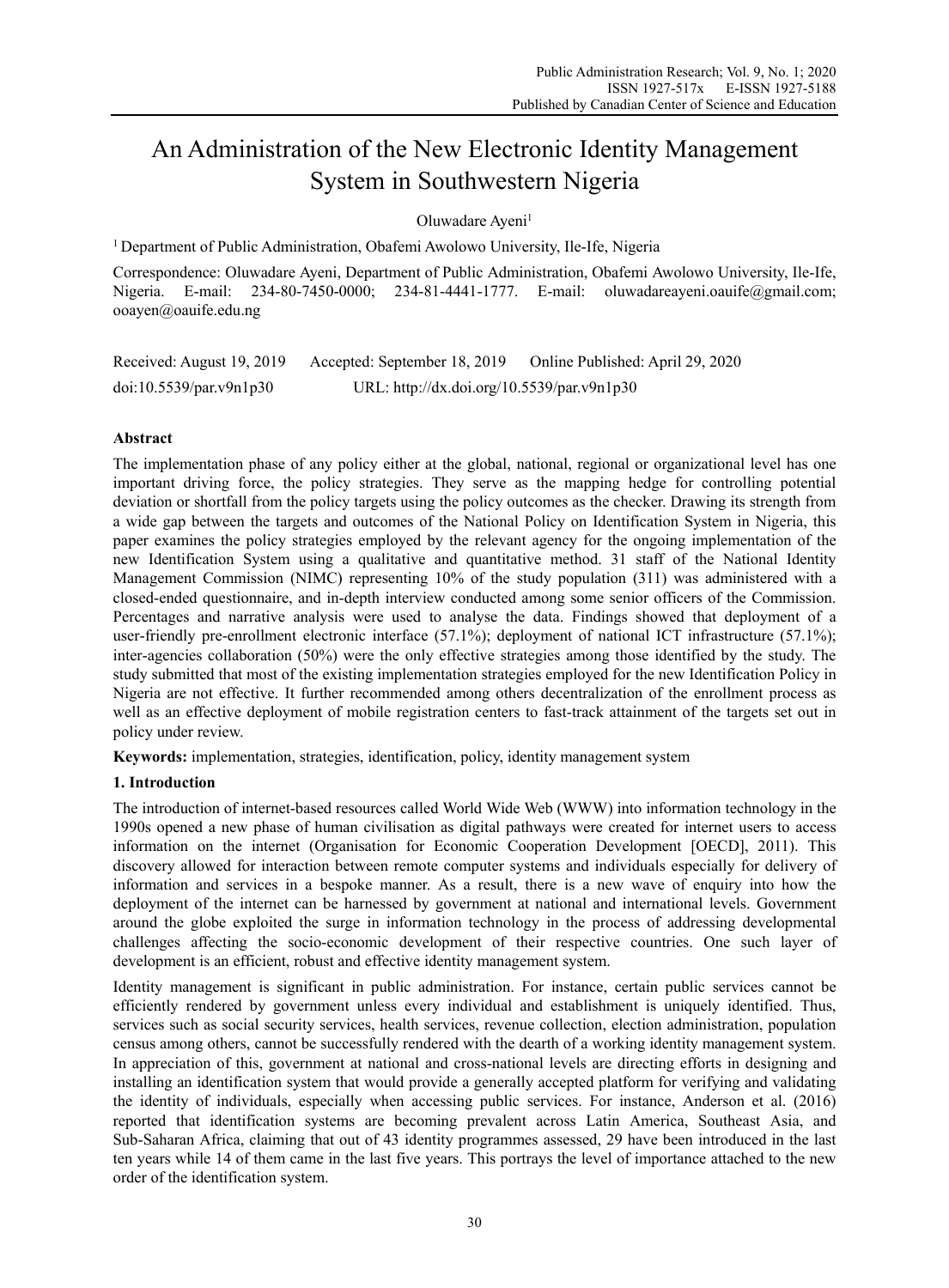# An Administration of the New Electronic Identity Management System in Southwestern Nigeria

Oluwadare Ayeni<sup>1</sup>

<sup>1</sup> Department of Public Administration, Obafemi Awolowo University, Ile-Ife, Nigeria

Correspondence: Oluwadare Ayeni, Department of Public Administration, Obafemi Awolowo University, Ile-Ife, Nigeria. E-mail: 234-80-7450-0000; 234-81-4441-1777. E-mail: oluwadareayeni.oauife@gmail.com; ooayen@oauife.edu.ng

| Received: August 19, 2019 | Accepted: September 18, 2019               | Online Published: April 29, 2020 |
|---------------------------|--------------------------------------------|----------------------------------|
| doi:10.5539/par.v9n1p30   | URL: http://dx.doi.org/10.5539/par.v9n1p30 |                                  |

# **Abstract**

The implementation phase of any policy either at the global, national, regional or organizational level has one important driving force, the policy strategies. They serve as the mapping hedge for controlling potential deviation or shortfall from the policy targets using the policy outcomes as the checker. Drawing its strength from a wide gap between the targets and outcomes of the National Policy on Identification System in Nigeria, this paper examines the policy strategies employed by the relevant agency for the ongoing implementation of the new Identification System using a qualitative and quantitative method. 31 staff of the National Identity Management Commission (NIMC) representing 10% of the study population (311) was administered with a closed-ended questionnaire, and in-depth interview conducted among some senior officers of the Commission. Percentages and narrative analysis were used to analyse the data. Findings showed that deployment of a user-friendly pre-enrollment electronic interface (57.1%); deployment of national ICT infrastructure (57.1%); inter-agencies collaboration (50%) were the only effective strategies among those identified by the study. The study submitted that most of the existing implementation strategies employed for the new Identification Policy in Nigeria are not effective. It further recommended among others decentralization of the enrollment process as well as an effective deployment of mobile registration centers to fast-track attainment of the targets set out in policy under review.

**Keywords:** implementation, strategies, identification, policy, identity management system

### **1. Introduction**

The introduction of internet-based resources called World Wide Web (WWW) into information technology in the 1990s opened a new phase of human civilisation as digital pathways were created for internet users to access information on the internet (Organisation for Economic Cooperation Development [OECD], 2011). This discovery allowed for interaction between remote computer systems and individuals especially for delivery of information and services in a bespoke manner. As a result, there is a new wave of enquiry into how the deployment of the internet can be harnessed by government at national and international levels. Government around the globe exploited the surge in information technology in the process of addressing developmental challenges affecting the socio-economic development of their respective countries. One such layer of development is an efficient, robust and effective identity management system.

Identity management is significant in public administration. For instance, certain public services cannot be efficiently rendered by government unless every individual and establishment is uniquely identified. Thus, services such as social security services, health services, revenue collection, election administration, population census among others, cannot be successfully rendered with the dearth of a working identity management system. In appreciation of this, government at national and cross-national levels are directing efforts in designing and installing an identification system that would provide a generally accepted platform for verifying and validating the identity of individuals, especially when accessing public services. For instance, Anderson et al. (2016) reported that identification systems are becoming prevalent across Latin America, Southeast Asia, and Sub-Saharan Africa, claiming that out of 43 identity programmes assessed, 29 have been introduced in the last ten years while 14 of them came in the last five years. This portrays the level of importance attached to the new order of the identification system.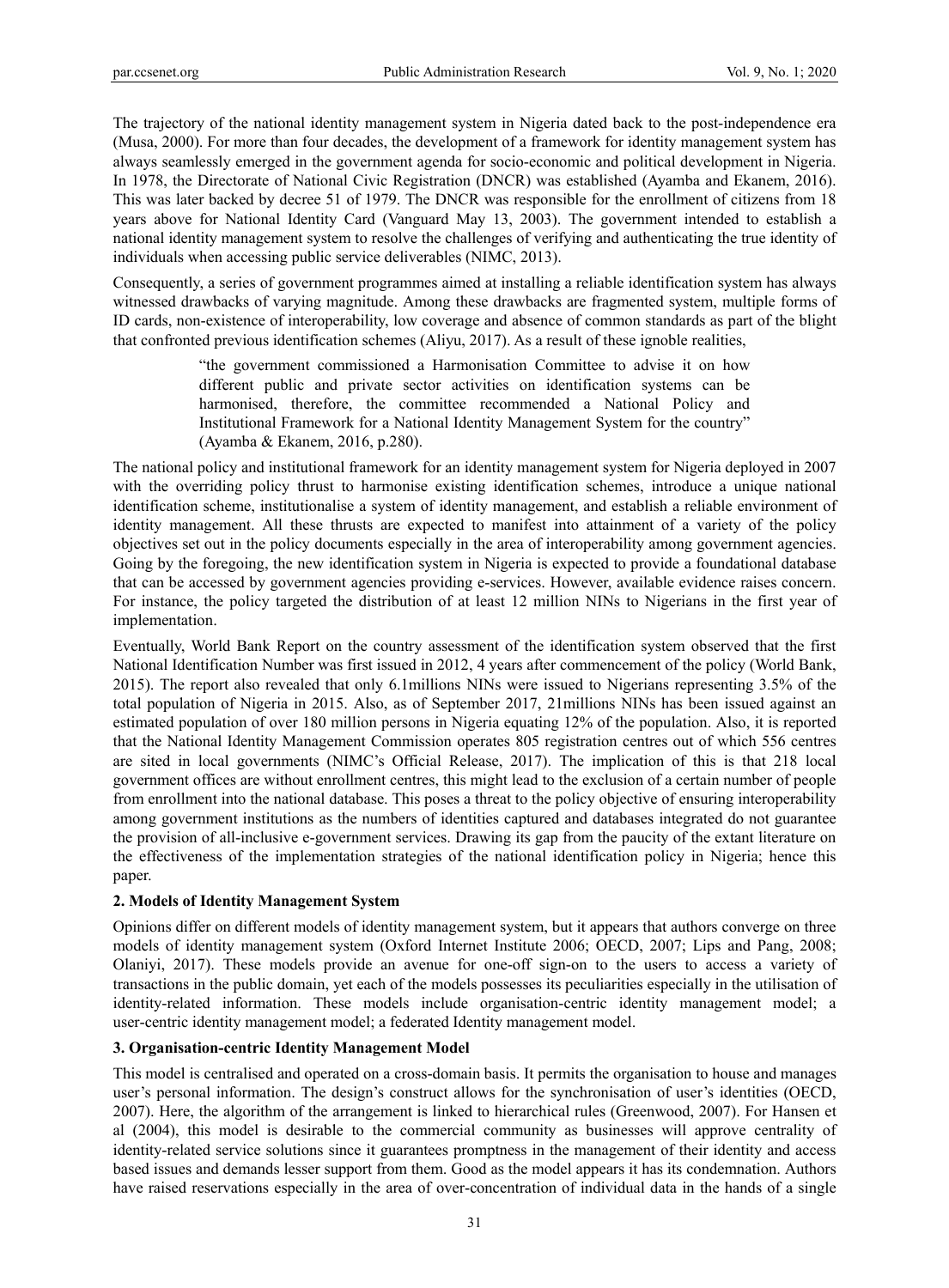The trajectory of the national identity management system in Nigeria dated back to the post-independence era (Musa, 2000). For more than four decades, the development of a framework for identity management system has always seamlessly emerged in the government agenda for socio-economic and political development in Nigeria. In 1978, the Directorate of National Civic Registration (DNCR) was established (Ayamba and Ekanem, 2016). This was later backed by decree 51 of 1979. The DNCR was responsible for the enrollment of citizens from 18 years above for National Identity Card (Vanguard May 13, 2003). The government intended to establish a national identity management system to resolve the challenges of verifying and authenticating the true identity of individuals when accessing public service deliverables (NIMC, 2013).

Consequently, a series of government programmes aimed at installing a reliable identification system has always witnessed drawbacks of varying magnitude. Among these drawbacks are fragmented system, multiple forms of ID cards, non-existence of interoperability, low coverage and absence of common standards as part of the blight that confronted previous identification schemes (Aliyu, 2017). As a result of these ignoble realities,

> "the government commissioned a Harmonisation Committee to advise it on how different public and private sector activities on identification systems can be harmonised, therefore, the committee recommended a National Policy and Institutional Framework for a National Identity Management System for the country" (Ayamba & Ekanem, 2016, p.280).

The national policy and institutional framework for an identity management system for Nigeria deployed in 2007 with the overriding policy thrust to harmonise existing identification schemes, introduce a unique national identification scheme, institutionalise a system of identity management, and establish a reliable environment of identity management. All these thrusts are expected to manifest into attainment of a variety of the policy objectives set out in the policy documents especially in the area of interoperability among government agencies. Going by the foregoing, the new identification system in Nigeria is expected to provide a foundational database that can be accessed by government agencies providing e-services. However, available evidence raises concern. For instance, the policy targeted the distribution of at least 12 million NINs to Nigerians in the first year of implementation.

Eventually, World Bank Report on the country assessment of the identification system observed that the first National Identification Number was first issued in 2012, 4 years after commencement of the policy (World Bank, 2015). The report also revealed that only 6.1millions NINs were issued to Nigerians representing 3.5% of the total population of Nigeria in 2015. Also, as of September 2017, 21millions NINs has been issued against an estimated population of over 180 million persons in Nigeria equating 12% of the population. Also, it is reported that the National Identity Management Commission operates 805 registration centres out of which 556 centres are sited in local governments (NIMC's Official Release, 2017). The implication of this is that 218 local government offices are without enrollment centres, this might lead to the exclusion of a certain number of people from enrollment into the national database. This poses a threat to the policy objective of ensuring interoperability among government institutions as the numbers of identities captured and databases integrated do not guarantee the provision of all-inclusive e-government services. Drawing its gap from the paucity of the extant literature on the effectiveness of the implementation strategies of the national identification policy in Nigeria; hence this paper.

### **2. Models of Identity Management System**

Opinions differ on different models of identity management system, but it appears that authors converge on three models of identity management system (Oxford Internet Institute 2006; OECD, 2007; Lips and Pang, 2008; Olaniyi, 2017). These models provide an avenue for one-off sign-on to the users to access a variety of transactions in the public domain, yet each of the models possesses its peculiarities especially in the utilisation of identity-related information. These models include organisation-centric identity management model; a user-centric identity management model; a federated Identity management model.

### **3. Organisation-centric Identity Management Model**

This model is centralised and operated on a cross-domain basis. It permits the organisation to house and manages user's personal information. The design's construct allows for the synchronisation of user's identities (OECD, 2007). Here, the algorithm of the arrangement is linked to hierarchical rules (Greenwood, 2007). For Hansen et al (2004), this model is desirable to the commercial community as businesses will approve centrality of identity-related service solutions since it guarantees promptness in the management of their identity and access based issues and demands lesser support from them. Good as the model appears it has its condemnation. Authors have raised reservations especially in the area of over-concentration of individual data in the hands of a single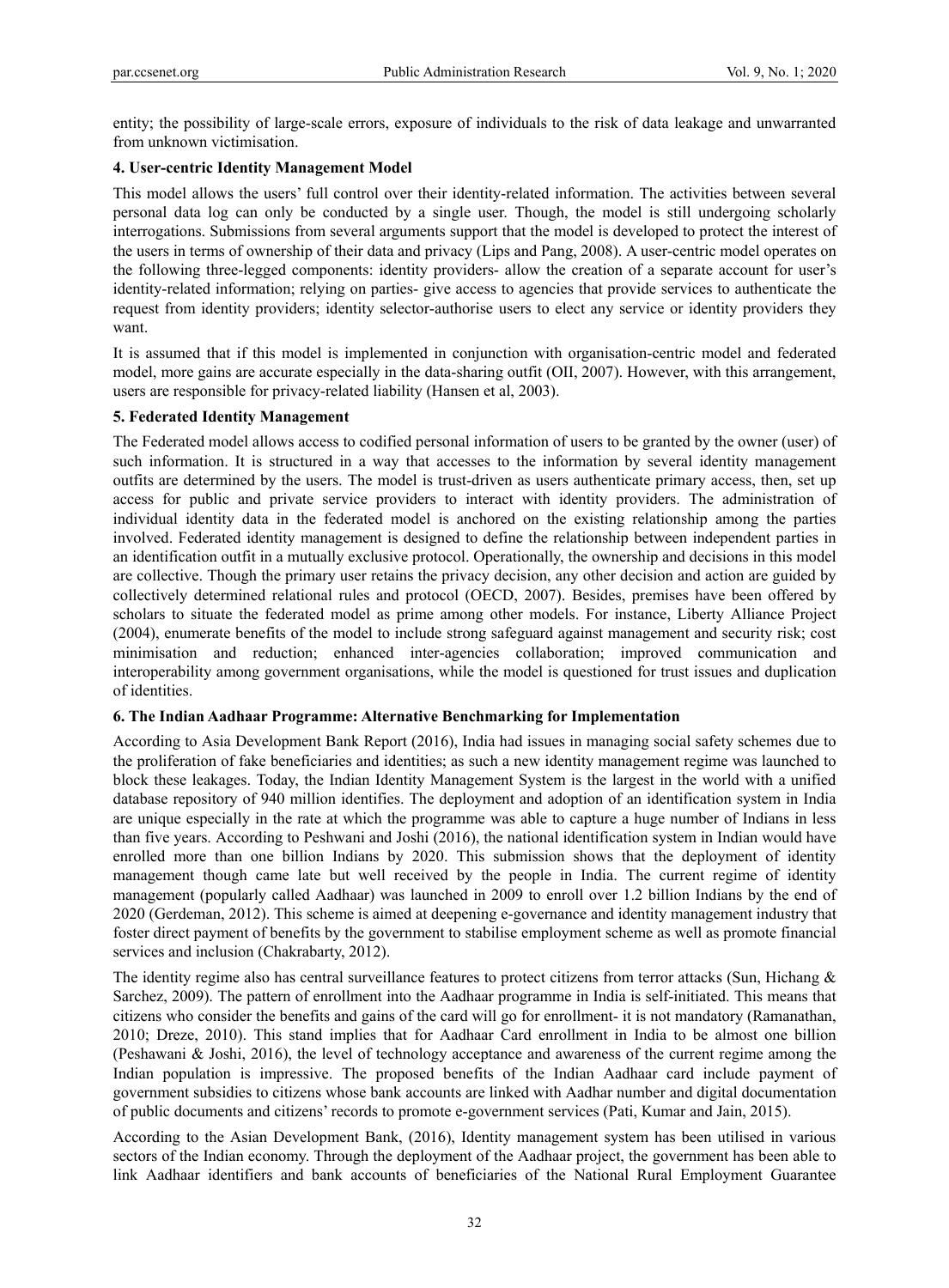entity; the possibility of large-scale errors, exposure of individuals to the risk of data leakage and unwarranted from unknown victimisation.

# **4. User-centric Identity Management Model**

This model allows the users' full control over their identity-related information. The activities between several personal data log can only be conducted by a single user. Though, the model is still undergoing scholarly interrogations. Submissions from several arguments support that the model is developed to protect the interest of the users in terms of ownership of their data and privacy (Lips and Pang, 2008). A user-centric model operates on the following three-legged components: identity providers- allow the creation of a separate account for user's identity-related information; relying on parties- give access to agencies that provide services to authenticate the request from identity providers; identity selector-authorise users to elect any service or identity providers they want.

It is assumed that if this model is implemented in conjunction with organisation-centric model and federated model, more gains are accurate especially in the data-sharing outfit (OII, 2007). However, with this arrangement, users are responsible for privacy-related liability (Hansen et al, 2003).

# **5. Federated Identity Management**

The Federated model allows access to codified personal information of users to be granted by the owner (user) of such information. It is structured in a way that accesses to the information by several identity management outfits are determined by the users. The model is trust-driven as users authenticate primary access, then, set up access for public and private service providers to interact with identity providers. The administration of individual identity data in the federated model is anchored on the existing relationship among the parties involved. Federated identity management is designed to define the relationship between independent parties in an identification outfit in a mutually exclusive protocol. Operationally, the ownership and decisions in this model are collective. Though the primary user retains the privacy decision, any other decision and action are guided by collectively determined relational rules and protocol (OECD, 2007). Besides, premises have been offered by scholars to situate the federated model as prime among other models. For instance, Liberty Alliance Project (2004), enumerate benefits of the model to include strong safeguard against management and security risk; cost minimisation and reduction; enhanced inter-agencies collaboration; improved communication and interoperability among government organisations, while the model is questioned for trust issues and duplication of identities.

### **6. The Indian Aadhaar Programme: Alternative Benchmarking for Implementation**

According to Asia Development Bank Report (2016), India had issues in managing social safety schemes due to the proliferation of fake beneficiaries and identities; as such a new identity management regime was launched to block these leakages. Today, the Indian Identity Management System is the largest in the world with a unified database repository of 940 million identifies. The deployment and adoption of an identification system in India are unique especially in the rate at which the programme was able to capture a huge number of Indians in less than five years. According to Peshwani and Joshi (2016), the national identification system in Indian would have enrolled more than one billion Indians by 2020. This submission shows that the deployment of identity management though came late but well received by the people in India. The current regime of identity management (popularly called Aadhaar) was launched in 2009 to enroll over 1.2 billion Indians by the end of 2020 (Gerdeman, 2012). This scheme is aimed at deepening e-governance and identity management industry that foster direct payment of benefits by the government to stabilise employment scheme as well as promote financial services and inclusion (Chakrabarty, 2012).

The identity regime also has central surveillance features to protect citizens from terror attacks (Sun, Hichang & Sarchez, 2009). The pattern of enrollment into the Aadhaar programme in India is self-initiated. This means that citizens who consider the benefits and gains of the card will go for enrollment- it is not mandatory (Ramanathan, 2010; Dreze, 2010). This stand implies that for Aadhaar Card enrollment in India to be almost one billion (Peshawani & Joshi, 2016), the level of technology acceptance and awareness of the current regime among the Indian population is impressive. The proposed benefits of the Indian Aadhaar card include payment of government subsidies to citizens whose bank accounts are linked with Aadhar number and digital documentation of public documents and citizens' records to promote e-government services (Pati, Kumar and Jain, 2015).

According to the Asian Development Bank, (2016), Identity management system has been utilised in various sectors of the Indian economy. Through the deployment of the Aadhaar project, the government has been able to link Aadhaar identifiers and bank accounts of beneficiaries of the National Rural Employment Guarantee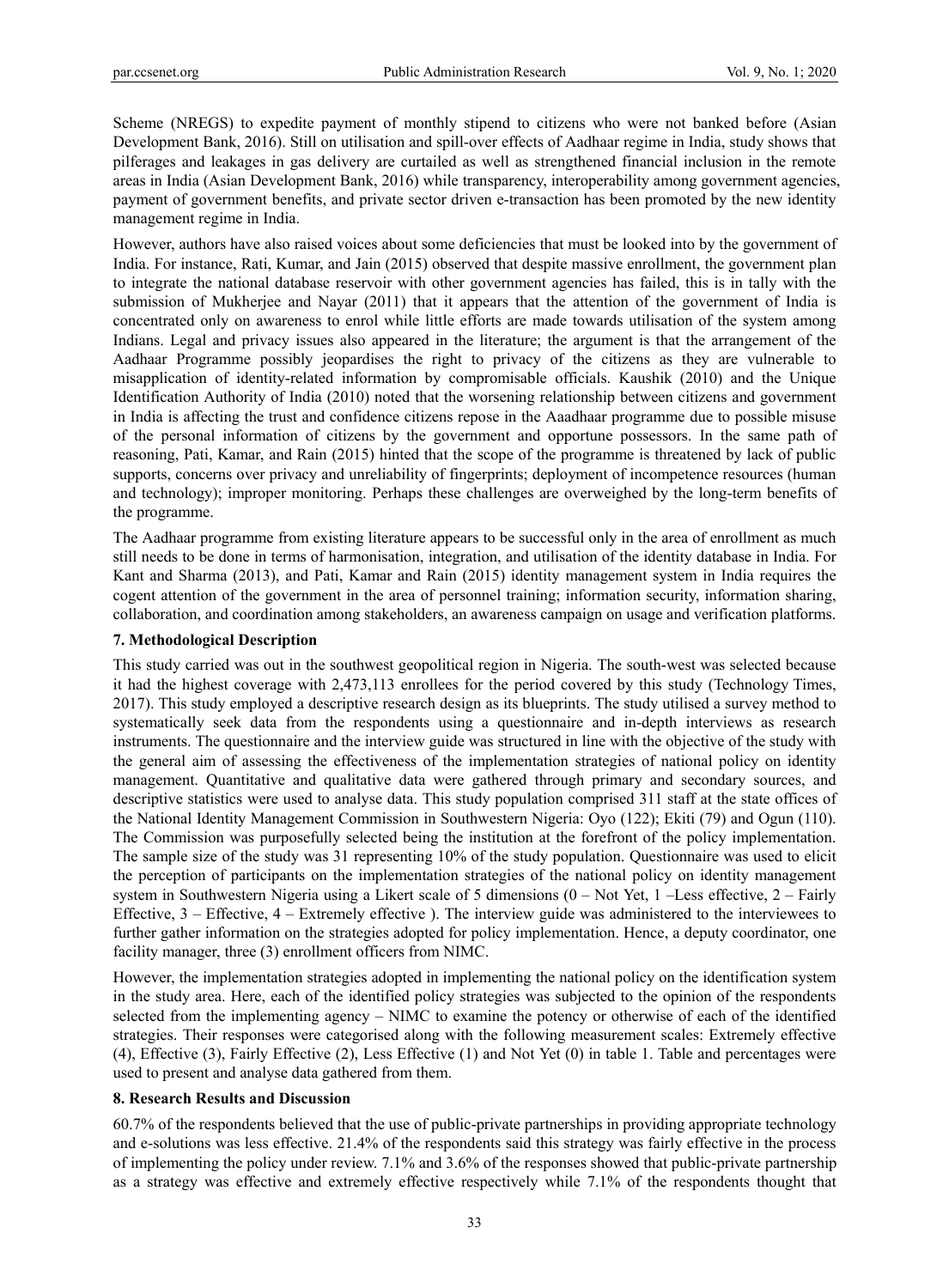Scheme (NREGS) to expedite payment of monthly stipend to citizens who were not banked before (Asian Development Bank, 2016). Still on utilisation and spill-over effects of Aadhaar regime in India, study shows that pilferages and leakages in gas delivery are curtailed as well as strengthened financial inclusion in the remote areas in India (Asian Development Bank, 2016) while transparency, interoperability among government agencies, payment of government benefits, and private sector driven e-transaction has been promoted by the new identity management regime in India.

However, authors have also raised voices about some deficiencies that must be looked into by the government of India. For instance, Rati, Kumar, and Jain (2015) observed that despite massive enrollment, the government plan to integrate the national database reservoir with other government agencies has failed, this is in tally with the submission of Mukherjee and Nayar (2011) that it appears that the attention of the government of India is concentrated only on awareness to enrol while little efforts are made towards utilisation of the system among Indians. Legal and privacy issues also appeared in the literature; the argument is that the arrangement of the Aadhaar Programme possibly jeopardises the right to privacy of the citizens as they are vulnerable to misapplication of identity-related information by compromisable officials. Kaushik (2010) and the Unique Identification Authority of India (2010) noted that the worsening relationship between citizens and government in India is affecting the trust and confidence citizens repose in the Aaadhaar programme due to possible misuse of the personal information of citizens by the government and opportune possessors. In the same path of reasoning, Pati, Kamar, and Rain (2015) hinted that the scope of the programme is threatened by lack of public supports, concerns over privacy and unreliability of fingerprints; deployment of incompetence resources (human and technology); improper monitoring. Perhaps these challenges are overweighed by the long-term benefits of the programme.

The Aadhaar programme from existing literature appears to be successful only in the area of enrollment as much still needs to be done in terms of harmonisation, integration, and utilisation of the identity database in India. For Kant and Sharma (2013), and Pati, Kamar and Rain (2015) identity management system in India requires the cogent attention of the government in the area of personnel training; information security, information sharing, collaboration, and coordination among stakeholders, an awareness campaign on usage and verification platforms.

### **7. Methodological Description**

This study carried was out in the southwest geopolitical region in Nigeria. The south-west was selected because it had the highest coverage with 2,473,113 enrollees for the period covered by this study (Technology Times, 2017). This study employed a descriptive research design as its blueprints. The study utilised a survey method to systematically seek data from the respondents using a questionnaire and in-depth interviews as research instruments. The questionnaire and the interview guide was structured in line with the objective of the study with the general aim of assessing the effectiveness of the implementation strategies of national policy on identity management. Quantitative and qualitative data were gathered through primary and secondary sources, and descriptive statistics were used to analyse data. This study population comprised 311 staff at the state offices of the National Identity Management Commission in Southwestern Nigeria: Oyo (122); Ekiti (79) and Ogun (110). The Commission was purposefully selected being the institution at the forefront of the policy implementation. The sample size of the study was 31 representing 10% of the study population. Questionnaire was used to elicit the perception of participants on the implementation strategies of the national policy on identity management system in Southwestern Nigeria using a Likert scale of 5 dimensions (0 – Not Yet, 1 –Less effective, 2 – Fairly Effective, 3 – Effective, 4 – Extremely effective ). The interview guide was administered to the interviewees to further gather information on the strategies adopted for policy implementation. Hence, a deputy coordinator, one facility manager, three (3) enrollment officers from NIMC.

However, the implementation strategies adopted in implementing the national policy on the identification system in the study area. Here, each of the identified policy strategies was subjected to the opinion of the respondents selected from the implementing agency – NIMC to examine the potency or otherwise of each of the identified strategies. Their responses were categorised along with the following measurement scales: Extremely effective (4), Effective (3), Fairly Effective (2), Less Effective (1) and Not Yet (0) in table 1. Table and percentages were used to present and analyse data gathered from them.

#### **8. Research Results and Discussion**

60.7% of the respondents believed that the use of public-private partnerships in providing appropriate technology and e-solutions was less effective. 21.4% of the respondents said this strategy was fairly effective in the process of implementing the policy under review. 7.1% and 3.6% of the responses showed that public-private partnership as a strategy was effective and extremely effective respectively while 7.1% of the respondents thought that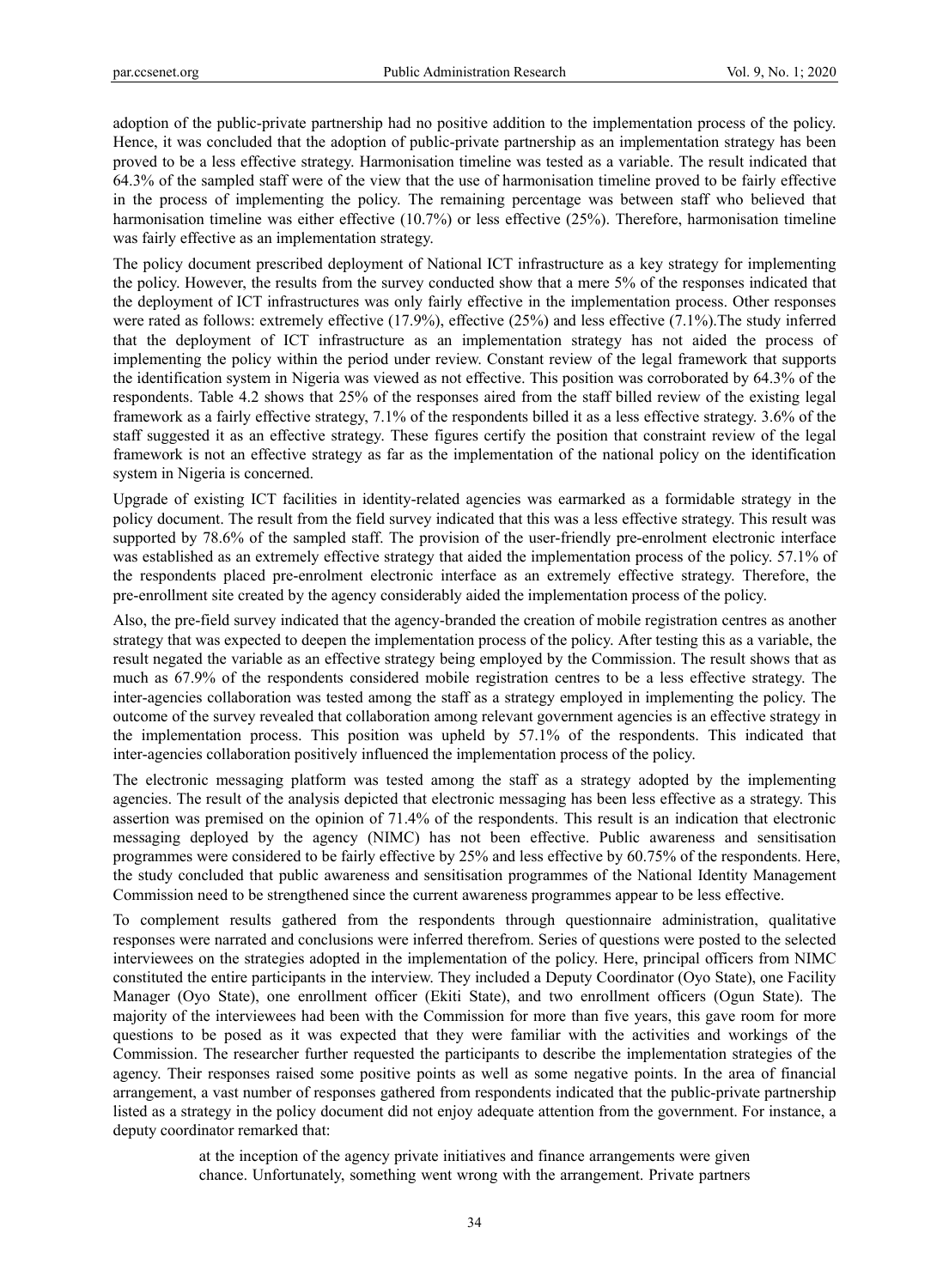adoption of the public-private partnership had no positive addition to the implementation process of the policy. Hence, it was concluded that the adoption of public-private partnership as an implementation strategy has been proved to be a less effective strategy. Harmonisation timeline was tested as a variable. The result indicated that 64.3% of the sampled staff were of the view that the use of harmonisation timeline proved to be fairly effective in the process of implementing the policy. The remaining percentage was between staff who believed that harmonisation timeline was either effective (10.7%) or less effective (25%). Therefore, harmonisation timeline was fairly effective as an implementation strategy.

The policy document prescribed deployment of National ICT infrastructure as a key strategy for implementing the policy. However, the results from the survey conducted show that a mere 5% of the responses indicated that the deployment of ICT infrastructures was only fairly effective in the implementation process. Other responses were rated as follows: extremely effective (17.9%), effective (25%) and less effective (7.1%).The study inferred that the deployment of ICT infrastructure as an implementation strategy has not aided the process of implementing the policy within the period under review. Constant review of the legal framework that supports the identification system in Nigeria was viewed as not effective. This position was corroborated by 64.3% of the respondents. Table 4.2 shows that 25% of the responses aired from the staff billed review of the existing legal framework as a fairly effective strategy, 7.1% of the respondents billed it as a less effective strategy. 3.6% of the staff suggested it as an effective strategy. These figures certify the position that constraint review of the legal framework is not an effective strategy as far as the implementation of the national policy on the identification system in Nigeria is concerned.

Upgrade of existing ICT facilities in identity-related agencies was earmarked as a formidable strategy in the policy document. The result from the field survey indicated that this was a less effective strategy. This result was supported by 78.6% of the sampled staff. The provision of the user-friendly pre-enrolment electronic interface was established as an extremely effective strategy that aided the implementation process of the policy. 57.1% of the respondents placed pre-enrolment electronic interface as an extremely effective strategy. Therefore, the pre-enrollment site created by the agency considerably aided the implementation process of the policy.

Also, the pre-field survey indicated that the agency-branded the creation of mobile registration centres as another strategy that was expected to deepen the implementation process of the policy. After testing this as a variable, the result negated the variable as an effective strategy being employed by the Commission. The result shows that as much as 67.9% of the respondents considered mobile registration centres to be a less effective strategy. The inter-agencies collaboration was tested among the staff as a strategy employed in implementing the policy. The outcome of the survey revealed that collaboration among relevant government agencies is an effective strategy in the implementation process. This position was upheld by 57.1% of the respondents. This indicated that inter-agencies collaboration positively influenced the implementation process of the policy.

The electronic messaging platform was tested among the staff as a strategy adopted by the implementing agencies. The result of the analysis depicted that electronic messaging has been less effective as a strategy. This assertion was premised on the opinion of 71.4% of the respondents. This result is an indication that electronic messaging deployed by the agency (NIMC) has not been effective. Public awareness and sensitisation programmes were considered to be fairly effective by 25% and less effective by 60.75% of the respondents. Here, the study concluded that public awareness and sensitisation programmes of the National Identity Management Commission need to be strengthened since the current awareness programmes appear to be less effective.

To complement results gathered from the respondents through questionnaire administration, qualitative responses were narrated and conclusions were inferred therefrom. Series of questions were posted to the selected interviewees on the strategies adopted in the implementation of the policy. Here, principal officers from NIMC constituted the entire participants in the interview. They included a Deputy Coordinator (Oyo State), one Facility Manager (Oyo State), one enrollment officer (Ekiti State), and two enrollment officers (Ogun State). The majority of the interviewees had been with the Commission for more than five years, this gave room for more questions to be posed as it was expected that they were familiar with the activities and workings of the Commission. The researcher further requested the participants to describe the implementation strategies of the agency. Their responses raised some positive points as well as some negative points. In the area of financial arrangement, a vast number of responses gathered from respondents indicated that the public-private partnership listed as a strategy in the policy document did not enjoy adequate attention from the government. For instance, a deputy coordinator remarked that:

> at the inception of the agency private initiatives and finance arrangements were given chance. Unfortunately, something went wrong with the arrangement. Private partners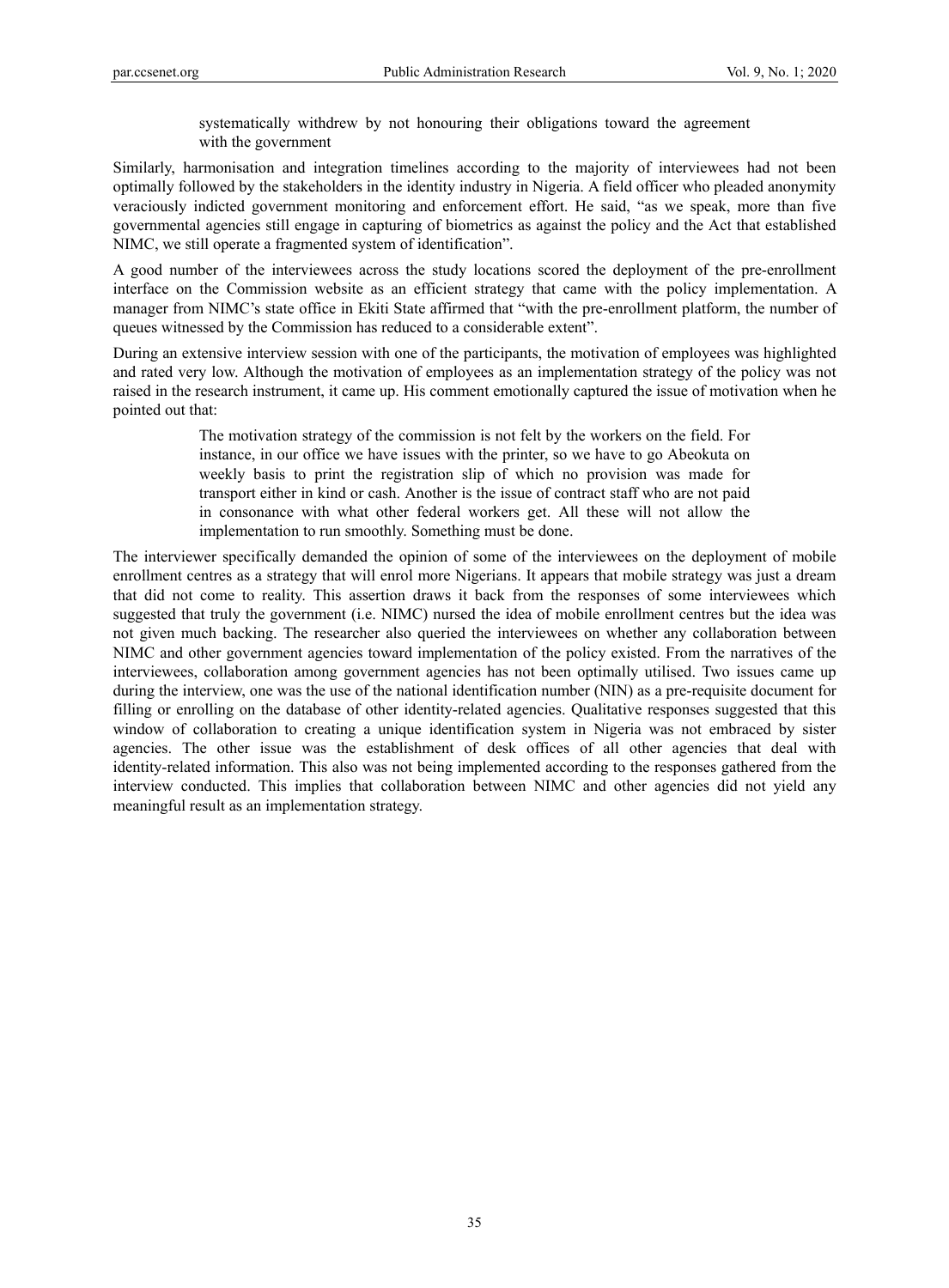systematically withdrew by not honouring their obligations toward the agreement with the government

Similarly, harmonisation and integration timelines according to the majority of interviewees had not been optimally followed by the stakeholders in the identity industry in Nigeria. A field officer who pleaded anonymity veraciously indicted government monitoring and enforcement effort. He said, "as we speak, more than five governmental agencies still engage in capturing of biometrics as against the policy and the Act that established NIMC, we still operate a fragmented system of identification".

A good number of the interviewees across the study locations scored the deployment of the pre-enrollment interface on the Commission website as an efficient strategy that came with the policy implementation. A manager from NIMC's state office in Ekiti State affirmed that "with the pre-enrollment platform, the number of queues witnessed by the Commission has reduced to a considerable extent".

During an extensive interview session with one of the participants, the motivation of employees was highlighted and rated very low. Although the motivation of employees as an implementation strategy of the policy was not raised in the research instrument, it came up. His comment emotionally captured the issue of motivation when he pointed out that:

> The motivation strategy of the commission is not felt by the workers on the field. For instance, in our office we have issues with the printer, so we have to go Abeokuta on weekly basis to print the registration slip of which no provision was made for transport either in kind or cash. Another is the issue of contract staff who are not paid in consonance with what other federal workers get. All these will not allow the implementation to run smoothly. Something must be done.

The interviewer specifically demanded the opinion of some of the interviewees on the deployment of mobile enrollment centres as a strategy that will enrol more Nigerians. It appears that mobile strategy was just a dream that did not come to reality. This assertion draws it back from the responses of some interviewees which suggested that truly the government (i.e. NIMC) nursed the idea of mobile enrollment centres but the idea was not given much backing. The researcher also queried the interviewees on whether any collaboration between NIMC and other government agencies toward implementation of the policy existed. From the narratives of the interviewees, collaboration among government agencies has not been optimally utilised. Two issues came up during the interview, one was the use of the national identification number (NIN) as a pre-requisite document for filling or enrolling on the database of other identity-related agencies. Qualitative responses suggested that this window of collaboration to creating a unique identification system in Nigeria was not embraced by sister agencies. The other issue was the establishment of desk offices of all other agencies that deal with identity-related information. This also was not being implemented according to the responses gathered from the interview conducted. This implies that collaboration between NIMC and other agencies did not yield any meaningful result as an implementation strategy.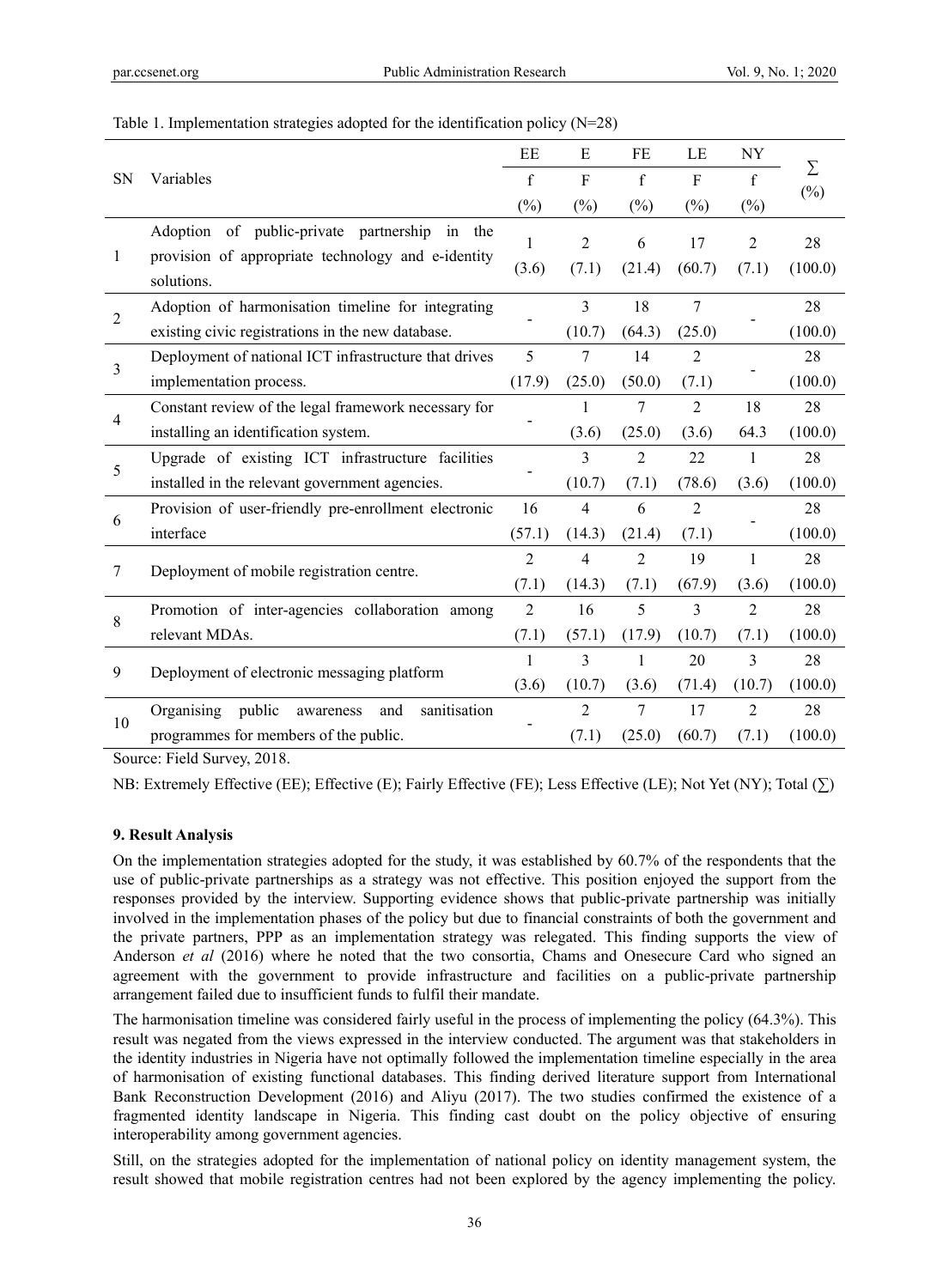| Table 1. Implementation strategies adopted for the identification policy $(N=28)$ |  |  |  |
|-----------------------------------------------------------------------------------|--|--|--|
|                                                                                   |  |  |  |

|                | Variables                                                        | EE             | Ε              | FE             | LE             | NY             | Σ       |
|----------------|------------------------------------------------------------------|----------------|----------------|----------------|----------------|----------------|---------|
| <b>SN</b>      |                                                                  | $\mathbf f$    | $\overline{F}$ | f              | $\overline{F}$ | f              |         |
|                |                                                                  |                | $(\%)$         | $(\%)$         | $(\%)$         | $(\%)$         | $(\%)$  |
|                | Adoption of public-private partnership<br>in the                 | 1              | $\overline{2}$ | 6              | 17             | $\overline{2}$ | 28      |
| 1              | provision of appropriate technology and e-identity<br>solutions. | (3.6)          | (7.1)          | (21.4)         | (60.7)         | (7.1)          | (100.0) |
|                | Adoption of harmonisation timeline for integrating               |                | 3              | 18             | 7              |                | 28      |
| $\overline{2}$ | existing civic registrations in the new database.                |                | (10.7)         | (64.3)         | (25.0)         |                | (100.0) |
| 3              | Deployment of national ICT infrastructure that drives            | 5              | 7              | 14             | $\overline{2}$ |                | 28      |
|                | implementation process.                                          | (17.9)         | (25.0)         | (50.0)         | (7.1)          |                | (100.0) |
|                | Constant review of the legal framework necessary for             |                | 1              | 7              | $\overline{2}$ | 18             | 28      |
| $\overline{4}$ | installing an identification system.                             |                | (3.6)          | (25.0)         | (3.6)          | 64.3           | (100.0) |
|                | Upgrade of existing ICT infrastructure facilities                |                | 3              | $\overline{2}$ | 22             | 1              | 28      |
| 5              | installed in the relevant government agencies.                   |                | (10.7)         | (7.1)          | (78.6)         | (3.6)          | (100.0) |
| 6              | Provision of user-friendly pre-enrollment electronic             | 16             | 4              | 6              | $\overline{2}$ |                | 28      |
|                | interface                                                        |                | (14.3)         | (21.4)         | (7.1)          |                | (100.0) |
| 7              | Deployment of mobile registration centre.                        | $\overline{2}$ | 4              | $\overline{2}$ | 19             | 1              | 28      |
|                |                                                                  | (7.1)          | (14.3)         | (7.1)          | (67.9)         | (3.6)          | (100.0) |
| 8              | Promotion of inter-agencies collaboration among                  | $\overline{2}$ | 16             | 5              | 3              | $\overline{2}$ | 28      |
|                | relevant MDAs.                                                   | (7.1)          | (57.1)         | (17.9)         | (10.7)         | (7.1)          | (100.0) |
| 9              |                                                                  | 1              | 3              | 1              | 20             | $\overline{3}$ | 28      |
|                | Deployment of electronic messaging platform                      |                | (10.7)         | (3.6)          | (71.4)         | (10.7)         | (100.0) |
| 10             | public<br>Organising<br>and<br>sanitisation<br>awareness         |                | 2              | 7              | 17             | $\overline{2}$ | 28      |
|                | programmes for members of the public.                            |                | (7.1)          | (25.0)         | (60.7)         | (7.1)          | (100.0) |

Source: Field Survey, 2018.

NB: Extremely Effective (EE); Effective (E); Fairly Effective (FE); Less Effective (LE); Not Yet (NY); Total (∑)

### **9. Result Analysis**

On the implementation strategies adopted for the study, it was established by 60.7% of the respondents that the use of public-private partnerships as a strategy was not effective. This position enjoyed the support from the responses provided by the interview. Supporting evidence shows that public-private partnership was initially involved in the implementation phases of the policy but due to financial constraints of both the government and the private partners, PPP as an implementation strategy was relegated. This finding supports the view of Anderson *et al* (2016) where he noted that the two consortia, Chams and Onesecure Card who signed an agreement with the government to provide infrastructure and facilities on a public-private partnership arrangement failed due to insufficient funds to fulfil their mandate.

The harmonisation timeline was considered fairly useful in the process of implementing the policy (64.3%). This result was negated from the views expressed in the interview conducted. The argument was that stakeholders in the identity industries in Nigeria have not optimally followed the implementation timeline especially in the area of harmonisation of existing functional databases. This finding derived literature support from International Bank Reconstruction Development (2016) and Aliyu (2017). The two studies confirmed the existence of a fragmented identity landscape in Nigeria. This finding cast doubt on the policy objective of ensuring interoperability among government agencies.

Still, on the strategies adopted for the implementation of national policy on identity management system, the result showed that mobile registration centres had not been explored by the agency implementing the policy.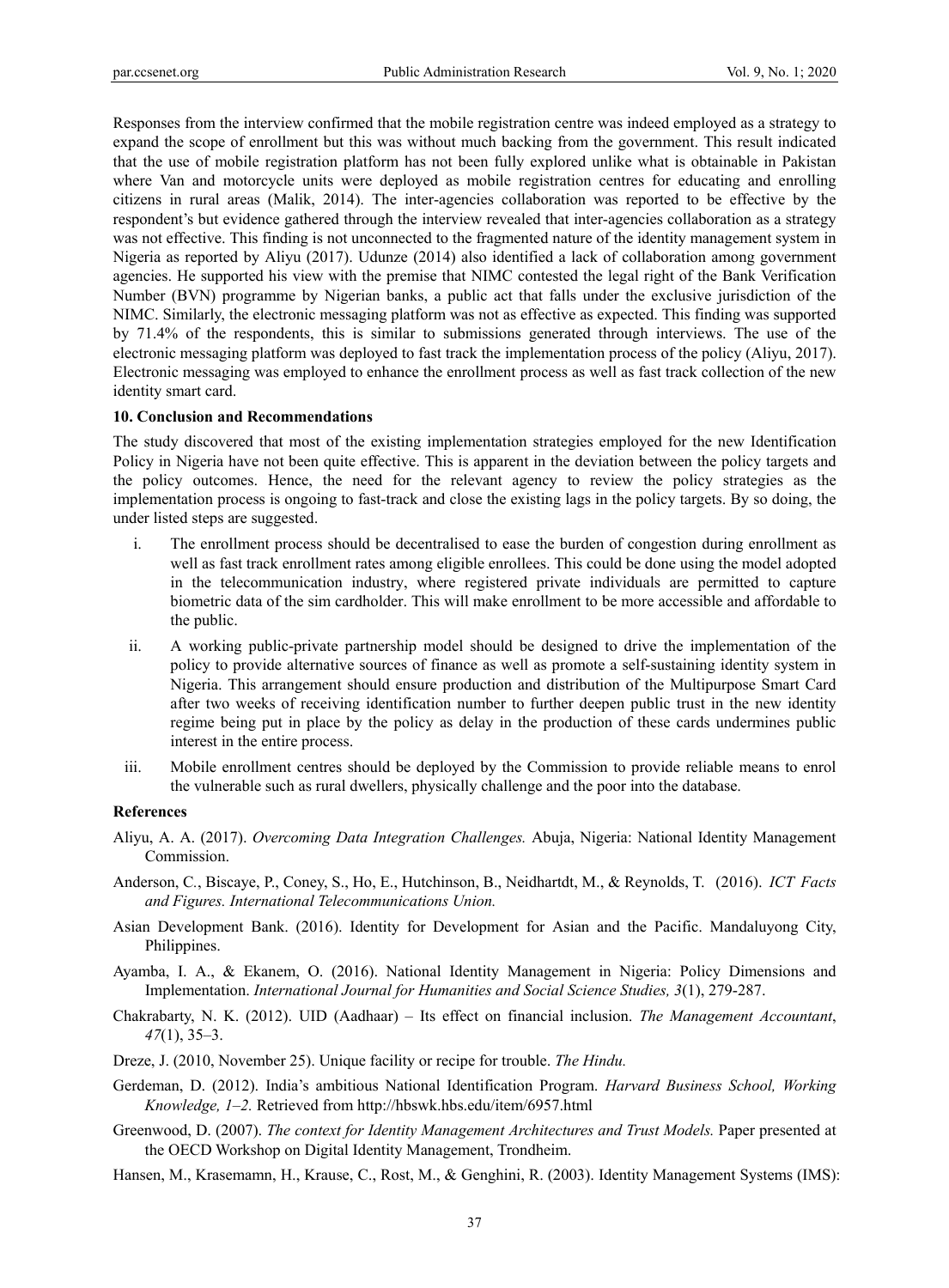Responses from the interview confirmed that the mobile registration centre was indeed employed as a strategy to expand the scope of enrollment but this was without much backing from the government. This result indicated that the use of mobile registration platform has not been fully explored unlike what is obtainable in Pakistan where Van and motorcycle units were deployed as mobile registration centres for educating and enrolling citizens in rural areas (Malik, 2014). The inter-agencies collaboration was reported to be effective by the respondent's but evidence gathered through the interview revealed that inter-agencies collaboration as a strategy was not effective. This finding is not unconnected to the fragmented nature of the identity management system in Nigeria as reported by Aliyu (2017). Udunze (2014) also identified a lack of collaboration among government agencies. He supported his view with the premise that NIMC contested the legal right of the Bank Verification Number (BVN) programme by Nigerian banks, a public act that falls under the exclusive jurisdiction of the NIMC. Similarly, the electronic messaging platform was not as effective as expected. This finding was supported by 71.4% of the respondents, this is similar to submissions generated through interviews. The use of the electronic messaging platform was deployed to fast track the implementation process of the policy (Aliyu, 2017). Electronic messaging was employed to enhance the enrollment process as well as fast track collection of the new identity smart card.

#### **10. Conclusion and Recommendations**

The study discovered that most of the existing implementation strategies employed for the new Identification Policy in Nigeria have not been quite effective. This is apparent in the deviation between the policy targets and the policy outcomes. Hence, the need for the relevant agency to review the policy strategies as the implementation process is ongoing to fast-track and close the existing lags in the policy targets. By so doing, the under listed steps are suggested.

- i. The enrollment process should be decentralised to ease the burden of congestion during enrollment as well as fast track enrollment rates among eligible enrollees. This could be done using the model adopted in the telecommunication industry, where registered private individuals are permitted to capture biometric data of the sim cardholder. This will make enrollment to be more accessible and affordable to the public.
- ii. A working public-private partnership model should be designed to drive the implementation of the policy to provide alternative sources of finance as well as promote a self-sustaining identity system in Nigeria. This arrangement should ensure production and distribution of the Multipurpose Smart Card after two weeks of receiving identification number to further deepen public trust in the new identity regime being put in place by the policy as delay in the production of these cards undermines public interest in the entire process.
- iii. Mobile enrollment centres should be deployed by the Commission to provide reliable means to enrol the vulnerable such as rural dwellers, physically challenge and the poor into the database.

#### **References**

- Aliyu, A. A. (2017). *Overcoming Data Integration Challenges.* Abuja, Nigeria: National Identity Management Commission.
- Anderson, C*.*, Biscaye, P., Coney, S., Ho, E., Hutchinson, B., Neidhartdt, M., & Reynolds, T. (2016). *ICT Facts and Figures. International Telecommunications Union.*
- Asian Development Bank. (2016). Identity for Development for Asian and the Pacific. Mandaluyong City, Philippines.
- Ayamba, I. A., & Ekanem, O. (2016). National Identity Management in Nigeria: Policy Dimensions and Implementation. *International Journal for Humanities and Social Science Studies, 3*(1), 279-287.
- Chakrabarty, N. K. (2012). UID (Aadhaar) Its effect on financial inclusion. *The Management Accountant*, *47*(1), 35–3.
- Dreze, J. (2010, November 25). Unique facility or recipe for trouble. *The Hindu.*
- Gerdeman, D. (2012). India's ambitious National Identification Program. *Harvard Business School, Working Knowledge, 1–2.* Retrieved from http://hbswk.hbs.edu/item/6957.html
- Greenwood, D. (2007). *The context for Identity Management Architectures and Trust Models.* Paper presented at the OECD Workshop on Digital Identity Management, Trondheim.
- Hansen, M., Krasemamn, H., Krause, C., Rost, M., & Genghini, R. (2003). Identity Management Systems (IMS):